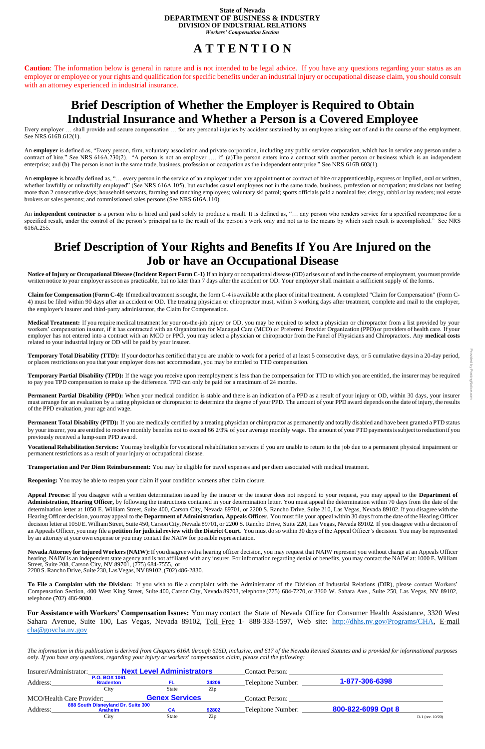#### **State of Nevada DEPARTMENT OF BUSINESS & INDUSTRY DIVISION OF INDUSTRIAL RELATIONS** *Workers' Compensation Section*

**Caution**: The information below is general in nature and is not intended to be legal advice. If you have any questions regarding your status as an employer or employee or your rights and qualification for specific benefits under an industrial injury or occupational disease claim, you should consult with an attorney experienced in industrial insurance.

## **A T T E N T I O N**

## **Brief Description of Whether the Employer is Required to Obtain Industrial Insurance and Whether a Person is a Covered Employee**

Every employer ... shall provide and secure compensation ... for any personal injuries by accident sustained by an employee arising out of and in the course of the employment. See NRS 616B.612(1).

An **employer** is defined as, "Every person, firm, voluntary association and private corporation, including any public service corporation, which has in service any person under a contract of hire." See NRS 616A.230(2). "A person is not an employer …. if: (a)The person enters into a contract with another person or business which is an independent enterprise; and (b) The person is not in the same trade, business, profession or occupation as the independent enterprise." See NRS 616B.603(1).

An **employee** is broadly defined as, "... every person in the service of an employer under any appointment or contract of hire or apprenticeship, express or implied, oral or written, whether lawfully or unlawfully employed" (See NRS 616A.105), but excludes casual employees not in the same trade, business, profession or occupation; musicians not lasting more than 2 consecutive days; household servants, farming and ranching employees; voluntary ski patrol; sports officials paid a nominal fee; clergy, rabbi or lay readers; real estate brokers or sales persons; and commissioned sales persons (See NRS 616A.110).

An **independent contractor** is a person who is hired and paid solely to produce a result. It is defined as, "... any person who renders service for a specified recompense for a specified result, under the control of the person's principal as to the result of the person's work only and not as to the means by which such result is accomplished." See NRS 616A.255.

## **Brief Description of Your Rights and Benefits If You Are Injured on the Job or have an Occupational Disease**

Notice of Injury or Occupational Disease (Incident Report Form C-1) If an injury or occupational disease (OD) arises out of and in the course of employment, you must provide written notice to your employer as soon as practicable, but no later than 7 days after the accident or OD. Your employer shall maintain a sufficient supply of the forms.

Permanent Partial Disability (PPD): When your medical condition is stable and there is an indication of a PPD as a result of your injury or OD, within 30 days, your insurer must arrange for an evaluation by a rating physician or chiropractor to determine the degree of your PPD. The amount of your PPD award depends on the date of injury, the results of the PPD evaluation, your age and wage.

Permanent Total Disability (PTD): If you are medically certified by a treating physician or chiropractor as permanently and totally disabled and have been granted a PTD status by your insurer, you are entitled to receive monthly benefits not to exceed 66 2/3% of your average monthly wage. The amount of your PTD payments is subject to reduction if you previously received a lump-sum PPD award.

**Claim for Compensation (Form C-4):** If medical treatment issought, the form C-4 is available at the place of initial treatment. A completed "Claim for Compensation" (Form C-4) must be filed within 90 days after an accident or OD. The treating physician or chiropractor must, within 3 working days after treatment, complete and mail to the employer, the employer's insurer and third-party administrator, the Claim for Compensation.

**Medical Treatment:** If you require medical treatment for your on-the-job injury or OD, you may be required to select a physician or chiropractor from a list provided by your workers' compensation insurer, if it has contracted with an Organization for Managed Care (MCO) or Preferred Provider Organization (PPO) or providers of health care. If your employer has not entered into a contract with an MCO or PPO, you may select a physician or chiropractor from the Panel of Physicians and Chiropractors. Any **medical costs** related to your industrial injury or OD will be paid by your insurer.

**Temporary Total Disability (TTD):** If your doctor has certified that you are unable to work for a period of at least 5 consecutive days, or 5 cumulative days in a 20-day period, or places restrictions on you that your employer does not accommodate, you may be entitled to TTD compensation.

**Temporary Partial Disability (TPD):** If the wage you receive upon reemployment is less than the compensation for TTD to which you are entitled, the insurer may be required to pay you TPD compensation to make up the difference. TPD can only be paid for a maximum of 24 months.

**Vocational Rehabilitation Services:** You may be eligible for vocational rehabilitation services if you are unable to return to the job due to a permanent physical impairment or permanent restrictions as a result of your injury or occupational disease.

**Transportation and Per Diem Reimbursement:** You may be eligible for travel expenses and per diem associated with medical treatment.

**Reopening:** You may be able to reopen your claim if your condition worsens after claim closure.

**Appeal Process:** If you disagree with a written determination issued by the insurer or the insurer does not respond to your request, you may appeal to the **Department of Administration, Hearing Officer,** by following the instructions contained in your determination letter. You must appeal the determination within 70 days from the date of the determination letter at 1050 E. William Street, Suite 400, Carson City, Nevada 89701, or 2200 S. Rancho Drive, Suite 210, Las Vegas, Nevada 89102. If you disagree with the Hearing Officer decision, youmay appeal to the **Department of Administration, Appeals Officer**. You must file your appeal within 30 daysfrom the date of the Hearing Officer decision letter at 1050 E. WilliamStreet, Suite 450,CarsonCity, Nevada 89701, or 2200 S. Rancho Drive, Suite 220, Las Vegas, Nevada 89102. If you disagree with a decision of an Appeals Officer, you may file a **petition for judicial review with the District Court**. You must do so within 30 days of the Appeal Officer's decision. You may be represented by an attorney at your own expense or you may contact the NAIW for possible representation.

**Nevada Attorney for InjuredWorkers(NAIW):**If you disagreewith a hearing officer decision, you may request that NAIW represent you without charge at an Appeals Officer hearing. NAIW is an independent state agency and is not affiliated with any insurer. For information regarding denial of benefits, you may contact the NAIW at: 1000 E. William Street, Suite 208, Carson City, NV 89701, (775) 684-7555, or 2200 S. Rancho Drive, Suite 230, Las Vegas, NV 89102,(702) 486-2830.

**To File a Complaint with the Division:** If you wish to file a complaint with the Administrator of the Division of Industrial Relations (DIR), please contact Workers' Compensation Section, 400 West King Street, Suite 400, Carson City, Nevada 89703, telephone (775) 684-7270, or 3360 W. Sahara Ave., Suite 250, Las Vegas, NV 89102, telephone (702) 486-9080.

**For Assistance with Workers' Compensation Issues:** You may contact the State of Nevada Office for Consumer Health Assistance, 3320 West Sahara Avenue, Suite 100, Las Vegas, Nevada 89102, Toll Free 1-888-333-1597, Web site: http://dhhs.nv.gov/Programs/CHA, E-mail cha@govcha.nv.gov

*The information in this publication is derived from Chapters 616A through 616D, inclusive, and 617 of the Nevada Revised Statutes and is provided for informational purposes only. If you have any questions, regarding your injury or workers' compensation claim, please call the following:*

| Insurer/Administrator:                                          |                                          | <b>Next Level Administrators</b> |       | <b>Contact Person:</b> |                    |                     |
|-----------------------------------------------------------------|------------------------------------------|----------------------------------|-------|------------------------|--------------------|---------------------|
| Address:                                                        | <b>P.O. BOX 1061</b><br><b>Bradenton</b> |                                  | 34206 | Telephone Number:      | 1-877-306-6398     |                     |
|                                                                 | City                                     | State                            | Zip   |                        |                    |                     |
| MCO/Health Care Provider:                                       |                                          | <b>Genex Services</b>            |       | <b>Contact Person:</b> |                    |                     |
| 888 South Disneyland Dr. Suite 300<br>Address:<br>Anaheim<br>ЗA |                                          |                                  | 92802 | Telephone Number:      | 800-822-6099 Opt 8 |                     |
|                                                                 | City                                     | State                            | Zip   |                        |                    | D-1 (rev. $10/20$ ) |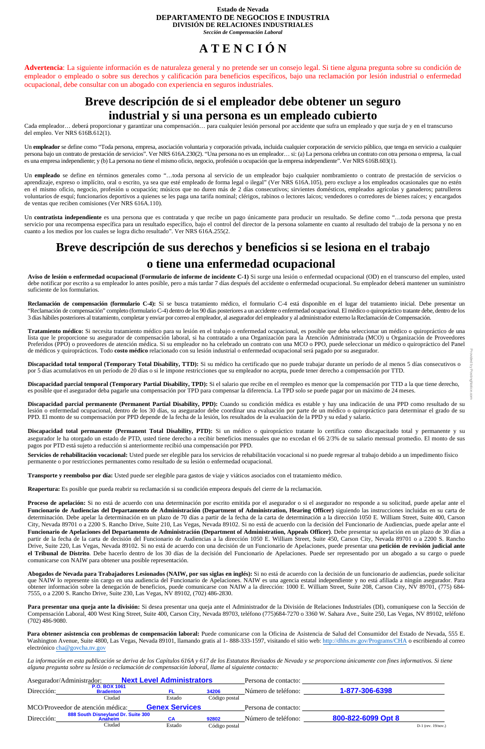#### **Estado de Nevada DEPARTAMENTO DE NEGOCIOS E INDUSTRIA DIVISIÓN DE RELACIONES INDUSTRIALES**  *Sección de Compensación Laboral*

## **A T E N C I Ó N**

**Advertencia**: La siguiente información es de naturaleza general y no pretende ser un consejo legal. Si tiene alguna pregunta sobre su condición de empleador o empleado o sobre sus derechos y calificación para beneficios específicos, bajo una reclamación por lesión industrial o enfermedad ocupacional, debe consultar con un abogado con experiencia en seguros industriales.

### **Breve descripción de si el empleador debe obtener un seguro industrial y si una persona es un empleado cubierto**

Cada empleador… deberá proporcionar y garantizar una compensación… para cualquier lesión personal por accidente que sufra un empleado y que surja de y en el transcurso del empleo. Ver NRS 616B.612(1).

Un **empleador** se define como "Toda persona, empresa, asociación voluntaria y corporación privada, incluida cualquier corporación de servicio público, que tenga en servicio a cualquier persona bajo un contrato de prestación de servicios". Ver NRS 616A.230(2). "Una persona no es un empleador… si: (a) La persona celebra un contrato con otra persona o empresa, la cual es una empresa independiente; y (b) La persona no tiene el mismo oficio, negocio, profesión u ocupación que la empresa independiente". Ver NRS 616B.603(1).

Un **empleado** se define en términos generales como "…toda persona al servicio de un empleador bajo cualquier nombramiento o contrato de prestación de servicios o aprendizaje, expreso o implícito, oral o escrito, ya sea que esté empleado de forma legal o ilegal" (Ver NRS 616A.105), pero excluye a los empleados ocasionales que no estén en el mismo oficio, negocio, profesión u ocupación; músicos que no duren más de 2 días consecutivos; sirvientes domésticos, empleados agrícolas y ganaderos; patrulleros voluntarios de esquí; funcionarios deportivos a quienes se les paga una tarifa nominal; clérigos, rabinos o lectores laicos; vendedores o corredores de bienes raíces; y encargados de ventas que reciben comisiones (Ver NRS 616A.110).

Un **contratista independiente** es una persona que es contratada y que recibe un pago únicamente para producir un resultado. Se define como "…toda persona que presta servicio por una recompensa específica para un resultado específico, bajo el control del director de la persona solamente en cuanto al resultado del trabajo de la persona y no en cuanto a los medios por los cuales se logra dicho resultado". Ver NRS 616A.255(2.

## **Breve descripción de sus derechos y beneficios si se lesiona en el trabajo o tiene una enfermedad ocupacional**

Discapacidad parcial permanente (Permanent Partial Disability, PPD): Cuando su condición médica es estable y hay una indicación de una PPD como resultado de su lesión o enfermedad ocupacional, dentro de los 30 días, su asegurador debe coordinar una evaluación por parte de un médico o quiropráctico para determinar el grado de su PPD. El monto de su compensación por PPD depende de la fecha de la lesión, los resultados de la evaluación de la PPD y su edad y salario.

**Aviso de lesión o enfermedad ocupacional (Formulario de informe de incidente C-1)** Si surge una lesión o enfermedad ocupacional (OD) en el transcurso del empleo, usted debe notificar por escrito a su empleador lo antes posible, pero a más tardar 7 días después del accidente o enfermedad ocupacional. Su empleador deberá mantener un suministro suficiente de los formularios.

Discapacidad total permanente (Permanent Total Disability, PTD): Si un médico o quiropráctico tratante lo certifica como discapacitado total y permanente y su asegurador le ha otorgado un estado de PTD, usted tiene derecho a recibir beneficios mensuales que no excedan el 66 2/3% de su salario mensual promedio. El monto de sus pagos por PTD está sujeto a reducción si anteriormente recibió una compensación por PPD.

Servicios de rehabilitación vocacional: Usted puede ser elegible para los servicios de rehabilitación vocacional si no puede regresar al trabajo debido a un impedimento físico permanente o por restricciones permanentes como resultado de su lesión o enfermedad ocupacional.

**Reclamación de compensación (formulario C-4):** Si se busca tratamiento médico, el formulario C-4 está disponible en el lugar del tratamiento inicial. Debe presentar un "Reclamación de compensación" completo (formulario C-4) dentro de los 90 días posteriores a un accidente o enfermedad ocupacional. El médico o quiropráctico tratante debe, dentro de los 3 días hábiles posteriores al tratamiento, completar y enviar por correo al empleador, al asegurador del empleador y al administrador externo la Reclamación de Compensación.

**Tratamiento médico:** Si necesita tratamiento médico para su lesión en el trabajo o enfermedad ocupacional, es posible que deba seleccionar un médico o quiropráctico de una lista que le proporcione su asegurador de compensación laboral, si ha contratado a una Organización para la Atención Administrada (MCO) u Organización de Proveedores Preferidos (PPO) o proveedores de atención médica. Si su empleador no ha celebrado un contrato con una MCO o PPO, puede seleccionar un médico o quiropráctico del Panel de médicos y quiroprácticos. Todo **costo médico** relacionado con su lesión industrial o enfermedad ocupacional será pagado por su asegurador.

Para presentar una queja ante la división: Si desea presentar una queja ante el Administrador de la División de Relaciones Industriales (DI), comuníquese con la Sección de Compensación Laboral, 400 West King Street, Suite 400, Carson City, Nevada 89703, teléfono (775)684-7270 o 3360 W. Sahara Ave., Suite 250, Las Vegas, NV 89102, teléfono (702) 486-9080.

**Discapacidad total temporal (Temporary Total Disability, TTD):** Si su médico ha certificado que no puede trabajar durante un período de al menos 5 días consecutivos o por 5 días acumulativos en un período de 20 días o si le impone restricciones que su empleador no acepta, puede tener derecho a compensación por TTD.

Para obtener asistencia con problemas de compensación laboral: Puede comunicarse con la Oficina de Asistencia de Salud del Consumidor del Estado de Nevada, 555 E. Washington Avenue, Suite 4800, Las Vegas, Nevada 89101, llamando gratis al 1- 888-333-1597, visitando el sitio web: http://dhhs.nv.gov/Programs/CHA o escribiendo al correo electrónico cha@govcha.nv.gov

La información en esta publicación se deriva de los Capítulos 616A y 617 de los Estatutos Revisados de Nevada y se proporciona únicamente con fines informativos. Si tiene *alguna pregunta sobre su lesión o reclamación de compensación laboral, llame al siguiente contacto:* 

**Discapacidad parcial temporal (Temporary Partial Disability, TPD):** Si el salario que recibe en el reempleo es menor que la compensación por TTD a la que tiene derecho, es posible que el asegurador deba pagarle una compensación por TPD para compensar la diferencia. La TPD solo se puede pagar por un máximo de 24 meses.

**Transporte y reembolso por día:** Usted puede ser elegible para gastos de viaje y viáticos asociados con el tratamiento médico.

**Reapertura:** Es posible que pueda reabrir su reclamación si su condición empeora después del cierre de la reclamación.

**Proceso de apelación:** Si no está de acuerdo con una determinación por escrito emitida por el asegurador o si el asegurador no responde a su solicitud, puede apelar ante el Funcionario de Audiencias del Departamento de Administración (Department of Administration, Hearing Officer) siguiendo las instrucciones incluidas en su carta de determinación. Debe apelar la determinación en un plazo de 70 días a partir de la fecha de la carta de determinación a la dirección 1050 E. William Street, Suite 400, Carson City, Nevada 89701 o a 2200 S. Rancho Drive, Suite 210, Las Vegas, Nevada 89102. Si no está de acuerdo con la decisión del Funcionario de Audiencias, puede apelar ante el **Funcionario de Apelaciones del Departamento de Administración (Department of Administration, Appeals Officer)**. Debe presentar su apelación en un plazo de 30 días a partir de la fecha de la carta de decisión del Funcionario de Audiencias a la dirección 1050 E. William Street, Suite 450, Carson City, Nevada 89701 o a 2200 S. Rancho Drive, Suite 220, Las Vegas, Nevada 89102. Si no está de acuerdo con una decisión de un Funcionario de Apelaciones, puede presentar una **petición de revisión judicial ante** 

**el Tribunal de Distrito**. Debe hacerlo dentro de los 30 días de la decisión del Funcionario de Apelaciones. Puede ser representado por un abogado a su cargo o puede comunicarse con NAIW para obtener una posible representación.

**Abogados de Nevada para Trabajadores Lesionados (NAIW, por sus siglas en inglés):** Si no está de acuerdo con la decisión de un funcionario de audiencias, puede solicitar que NAIW lo represente sin cargo en una audiencia del Funcionario de Apelaciones. NAIW es una agencia estatal independiente y no está afiliada a ningún asegurador. Para obtener información sobre la denegación de beneficios, puede comunicarse con NAIW a la dirección: 1000 E. William Street, Suite 208, Carson City, NV 89701, (775) 684- 7555, o a 2200 S. Rancho Drive, Suite 230, Las Vegas, NV 89102, (702) 486-2830.

|            | Asegurador/Administrador:                | <b>Next Level Administrators</b> |               | Persona de contacto: |                    |                       |
|------------|------------------------------------------|----------------------------------|---------------|----------------------|--------------------|-----------------------|
| Dirección: | <b>P.O. BOX 1061</b><br><b>Bradenton</b> |                                  | 34206         | Número de teléfono:  | 1-877-306-6398     |                       |
|            | Ciudad                                   | Estado                           | Código postal |                      |                    |                       |
|            | MCO/Proveedor de atención médica:        | <b>Genex Services</b>            |               | Persona de contacto: |                    |                       |
| Dirección: | 888 South Disneyland Dr. Suite 300       | <b>CA</b>                        | 92802         | Número de teléfono:  | 800-822-6099 Opt 8 |                       |
|            | Ciudad                                   | Estado                           | Código postal |                      |                    | D-1 (rev. $19$ /nov.) |